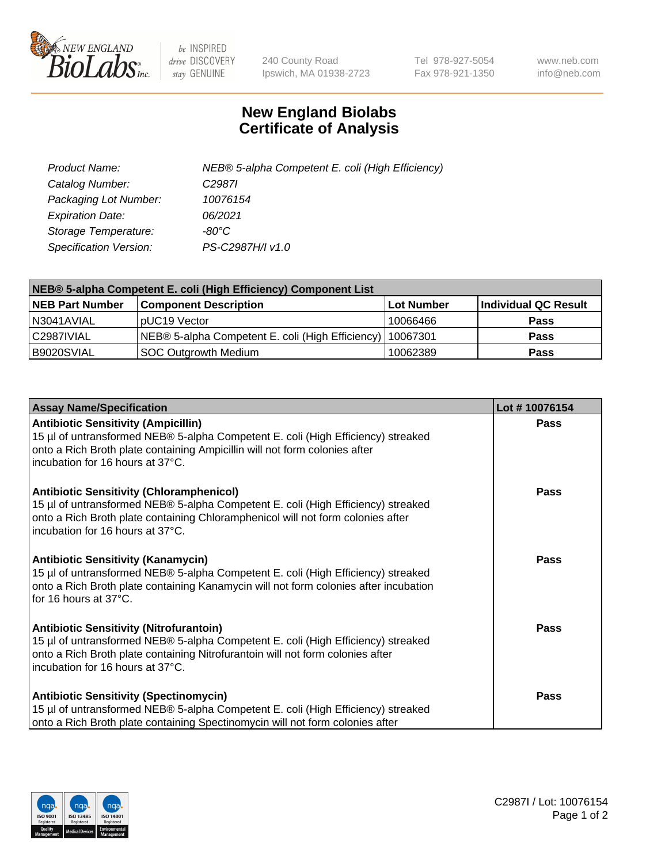

 $be$  INSPIRED drive DISCOVERY stay GENUINE

240 County Road Ipswich, MA 01938-2723 Tel 978-927-5054 Fax 978-921-1350 www.neb.com info@neb.com

## **New England Biolabs Certificate of Analysis**

| Product Name:           | NEB® 5-alpha Competent E. coli (High Efficiency) |
|-------------------------|--------------------------------------------------|
| Catalog Number:         | C <sub>2987</sub>                                |
| Packaging Lot Number:   | 10076154                                         |
| <b>Expiration Date:</b> | 06/2021                                          |
| Storage Temperature:    | -80°C.                                           |
| Specification Version:  | PS-C2987H/I v1.0                                 |

| NEB® 5-alpha Competent E. coli (High Efficiency) Component List |                                                  |                   |                      |  |
|-----------------------------------------------------------------|--------------------------------------------------|-------------------|----------------------|--|
| <b>NEB Part Number</b>                                          | <b>Component Description</b>                     | <b>Lot Number</b> | Individual QC Result |  |
| N3041AVIAL                                                      | pUC19 Vector                                     | 10066466          | <b>Pass</b>          |  |
| C2987IVIAL                                                      | NEB® 5-alpha Competent E. coli (High Efficiency) | l 10067301        | <b>Pass</b>          |  |
| B9020SVIAL                                                      | <b>SOC Outgrowth Medium</b>                      | 10062389          | <b>Pass</b>          |  |

| <b>Assay Name/Specification</b>                                                                                                                                                                                                                            | Lot #10076154 |
|------------------------------------------------------------------------------------------------------------------------------------------------------------------------------------------------------------------------------------------------------------|---------------|
| <b>Antibiotic Sensitivity (Ampicillin)</b><br>15 µl of untransformed NEB® 5-alpha Competent E. coli (High Efficiency) streaked<br>onto a Rich Broth plate containing Ampicillin will not form colonies after<br>incubation for 16 hours at 37°C.           | Pass          |
| <b>Antibiotic Sensitivity (Chloramphenicol)</b><br>15 µl of untransformed NEB® 5-alpha Competent E. coli (High Efficiency) streaked<br>onto a Rich Broth plate containing Chloramphenicol will not form colonies after<br>incubation for 16 hours at 37°C. | Pass          |
| <b>Antibiotic Sensitivity (Kanamycin)</b><br>15 µl of untransformed NEB® 5-alpha Competent E. coli (High Efficiency) streaked<br>onto a Rich Broth plate containing Kanamycin will not form colonies after incubation<br>for 16 hours at 37°C.             | Pass          |
| <b>Antibiotic Sensitivity (Nitrofurantoin)</b><br>15 µl of untransformed NEB® 5-alpha Competent E. coli (High Efficiency) streaked<br>onto a Rich Broth plate containing Nitrofurantoin will not form colonies after<br>incubation for 16 hours at 37°C.   | <b>Pass</b>   |
| <b>Antibiotic Sensitivity (Spectinomycin)</b><br>15 µl of untransformed NEB® 5-alpha Competent E. coli (High Efficiency) streaked<br>onto a Rich Broth plate containing Spectinomycin will not form colonies after                                         | Pass          |